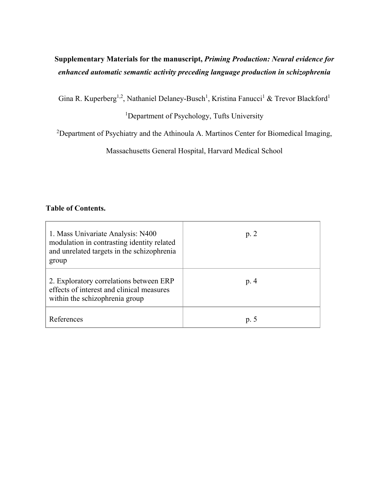# **Supplementary Materials for the manuscript,** *Priming Production: Neural evidence for enhanced automatic semantic activity preceding language production in schizophrenia*

Gina R. Kuperberg<sup>1,2</sup>, Nathaniel Delaney-Busch<sup>1</sup>, Kristina Fanucci<sup>1</sup> & Trevor Blackford<sup>1</sup>

### <sup>1</sup>Department of Psychology, Tufts University

<sup>2</sup>Department of Psychiatry and the Athinoula A. Martinos Center for Biomedical Imaging,

Massachusetts General Hospital, Harvard Medical School

### **Table of Contents.**

| 1. Mass Univariate Analysis: N400<br>modulation in contrasting identity related<br>and unrelated targets in the schizophrenia<br>group | p. 2 |
|----------------------------------------------------------------------------------------------------------------------------------------|------|
| 2. Exploratory correlations between ERP<br>effects of interest and clinical measures<br>within the schizophrenia group                 | p. 4 |
| References                                                                                                                             | p. 5 |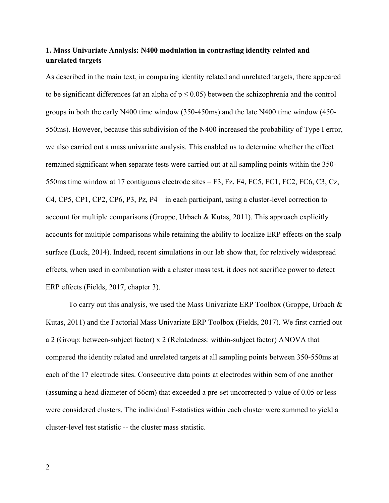# **1. Mass Univariate Analysis: N400 modulation in contrasting identity related and unrelated targets**

As described in the main text, in comparing identity related and unrelated targets, there appeared to be significant differences (at an alpha of  $p \le 0.05$ ) between the schizophrenia and the control groups in both the early N400 time window (350-450ms) and the late N400 time window (450- 550ms). However, because this subdivision of the N400 increased the probability of Type I error, we also carried out a mass univariate analysis. This enabled us to determine whether the effect remained significant when separate tests were carried out at all sampling points within the 350- 550ms time window at 17 contiguous electrode sites – F3, Fz, F4, FC5, FC1, FC2, FC6, C3, Cz, C4, CP5, CP1, CP2, CP6, P3, Pz, P4 – in each participant, using a cluster-level correction to account for multiple comparisons (Groppe, Urbach & Kutas, 2011). This approach explicitly accounts for multiple comparisons while retaining the ability to localize ERP effects on the scalp surface (Luck, 2014). Indeed, recent simulations in our lab show that, for relatively widespread effects, when used in combination with a cluster mass test, it does not sacrifice power to detect ERP effects (Fields, 2017, chapter 3).

To carry out this analysis, we used the Mass Univariate ERP Toolbox (Groppe, Urbach  $\&$ Kutas, 2011) and the Factorial Mass Univariate ERP Toolbox (Fields, 2017). We first carried out a 2 (Group: between-subject factor) x 2 (Relatedness: within-subject factor) ANOVA that compared the identity related and unrelated targets at all sampling points between 350-550ms at each of the 17 electrode sites. Consecutive data points at electrodes within 8cm of one another (assuming a head diameter of 56cm) that exceeded a pre-set uncorrected p-value of 0.05 or less were considered clusters. The individual F-statistics within each cluster were summed to yield a cluster-level test statistic -- the cluster mass statistic.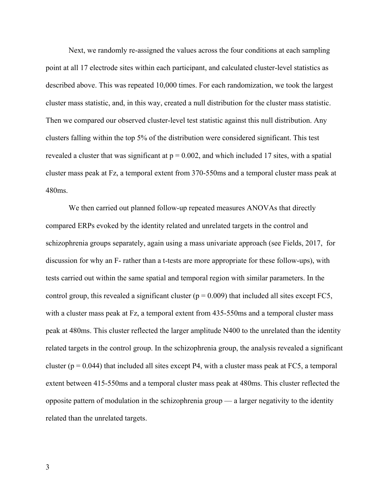Next, we randomly re-assigned the values across the four conditions at each sampling point at all 17 electrode sites within each participant, and calculated cluster-level statistics as described above. This was repeated 10,000 times. For each randomization, we took the largest cluster mass statistic, and, in this way, created a null distribution for the cluster mass statistic. Then we compared our observed cluster-level test statistic against this null distribution. Any clusters falling within the top 5% of the distribution were considered significant. This test revealed a cluster that was significant at  $p = 0.002$ , and which included 17 sites, with a spatial cluster mass peak at Fz, a temporal extent from 370-550ms and a temporal cluster mass peak at 480ms.

 We then carried out planned follow-up repeated measures ANOVAs that directly compared ERPs evoked by the identity related and unrelated targets in the control and schizophrenia groups separately, again using a mass univariate approach (see Fields, 2017, for discussion for why an F- rather than a t-tests are more appropriate for these follow-ups), with tests carried out within the same spatial and temporal region with similar parameters. In the control group, this revealed a significant cluster ( $p = 0.009$ ) that included all sites except FC5, with a cluster mass peak at Fz, a temporal extent from  $435-550$  ms and a temporal cluster mass peak at 480ms. This cluster reflected the larger amplitude N400 to the unrelated than the identity related targets in the control group. In the schizophrenia group, the analysis revealed a significant cluster ( $p = 0.044$ ) that included all sites except P4, with a cluster mass peak at FC5, a temporal extent between 415-550ms and a temporal cluster mass peak at 480ms. This cluster reflected the opposite pattern of modulation in the schizophrenia group — a larger negativity to the identity related than the unrelated targets.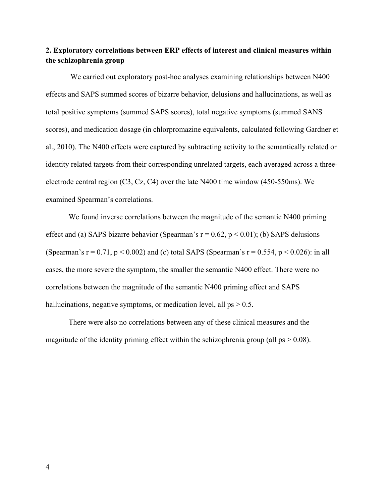# **2. Exploratory correlations between ERP effects of interest and clinical measures within the schizophrenia group**

 We carried out exploratory post-hoc analyses examining relationships between N400 effects and SAPS summed scores of bizarre behavior, delusions and hallucinations, as well as total positive symptoms (summed SAPS scores), total negative symptoms (summed SANS scores), and medication dosage (in chlorpromazine equivalents, calculated following Gardner et al., 2010). The N400 effects were captured by subtracting activity to the semantically related or identity related targets from their corresponding unrelated targets, each averaged across a threeelectrode central region (C3, Cz, C4) over the late N400 time window (450-550ms). We examined Spearman's correlations.

We found inverse correlations between the magnitude of the semantic N400 priming effect and (a) SAPS bizarre behavior (Spearman's  $r = 0.62$ ,  $p < 0.01$ ); (b) SAPS delusions (Spearman's  $r = 0.71$ ,  $p < 0.002$ ) and (c) total SAPS (Spearman's  $r = 0.554$ ,  $p < 0.026$ ): in all cases, the more severe the symptom, the smaller the semantic N400 effect. There were no correlations between the magnitude of the semantic N400 priming effect and SAPS hallucinations, negative symptoms, or medication level, all  $ps > 0.5$ .

There were also no correlations between any of these clinical measures and the magnitude of the identity priming effect within the schizophrenia group (all  $ps > 0.08$ ).